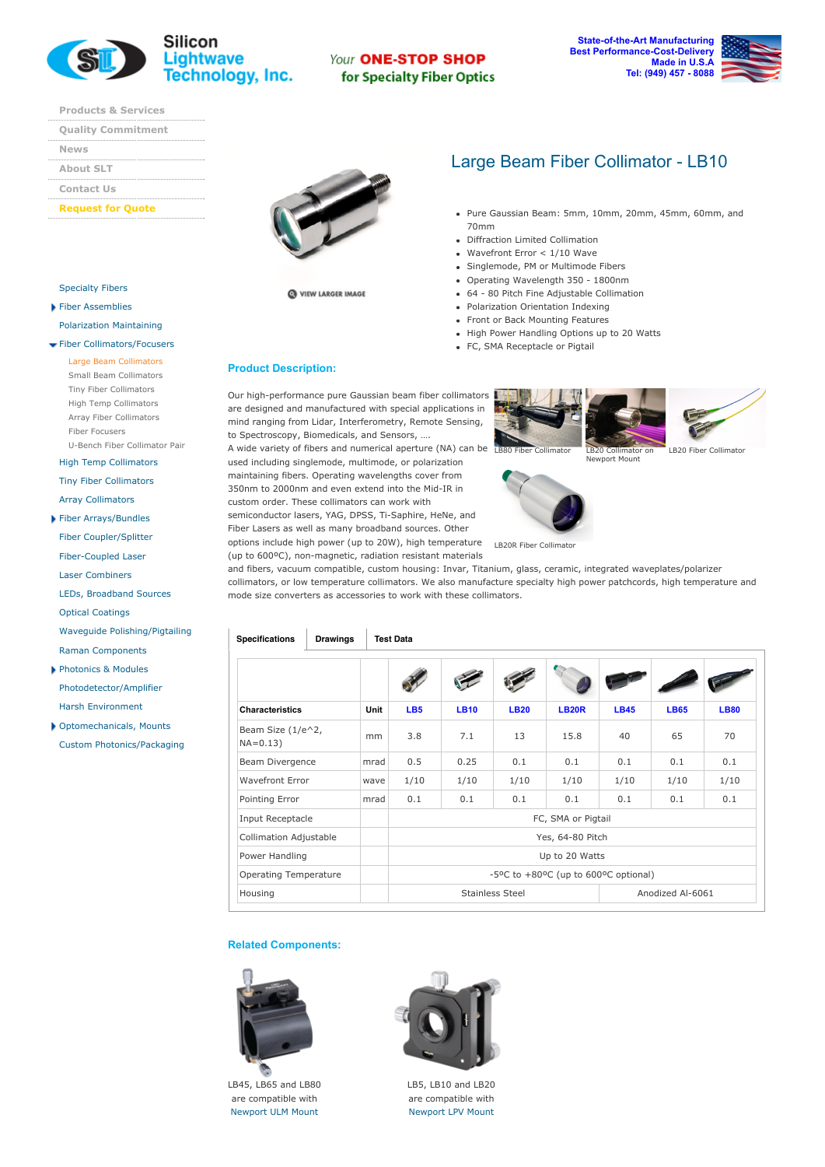

### Your ONE-STOP SHOP for Specialty Fiber Optics

**State-of-the-Art Manufacturing Best Performance-Cost-Delivery Made in U.S.A Tel: (949) 457 8088**

**[Products](http://www.slwti.com/ProductList.aspx) & Services**

| <b>Quality Commitment</b> |
|---------------------------|
|                           |
| <b>News</b>               |
|                           |
| <b>About SLT</b>          |
|                           |
| <b>Contact Us</b>         |
|                           |

#### **[Request](http://www.slwti.com/RequestForQuote.aspx) for Quote**

[Specialty](http://www.slwti.com/SpecialtyFibers.aspx) Fibers Fiber [Assemblies](http://www.slwti.com/CAIndex.aspx)

Polarization [Maintaining](http://www.slwti.com/PM.aspx) Fiber [Collimators/Focusers](http://www.slwti.com/CollimatorIndex.aspx) Large Beam [Collimators](http://www.slwti.com/LBCollimators.aspx) Small Beam [Collimators](http://www.slwti.com/SBCollimators.aspx) Tiny Fiber [Collimators](http://www.slwti.com/TBCollimators.aspx) High Temp [Collimators](http://www.slwti.com/HTCollimators.aspx) Array Fiber [Collimators](http://www.slwti.com/ArrayCollimators.aspx)



WEW LARGER IMAGE

# Large Beam Fiber Collimator - LB10

Fiber [Focusers](http://www.slwti.com/FiberFocuser.aspx)

High Temp [Collimators](http://www.slwti.com/HTCollimators.aspx) Tiny Fiber [Collimators](http://www.slwti.com/TBCollimators.aspx) Array [Collimators](http://www.slwti.com/ArrayCollimators.aspx)

U-Bench Fiber [Collimator](http://www.slwti.com/UBench.aspx) Pair

- Fiber [Arrays/Bundles](http://www.slwti.com/FAFBIndex.aspx)
- Fiber [Coupler/Splitter](http://www.slwti.com/FiberCouplers.aspx)
- Fiber-Coupled Laser
- Laser [Combiners](http://www.slwti.com/LaserCombiners.aspx)
- LEDs, [Broadband](http://www.slwti.com/LEDSources.aspx) Sources
- Optical [Coatings](http://www.slwti.com/OpticalCoatings.aspx)
- Waveguide [Polishing/Pigtailing](http://www.slwti.com/PolishPigtail.aspx)
- Raman [Components](http://www.slwti.com/Raman.aspx)
- [Photonics](http://www.slwti.com/PCIndex.aspx) & Modules [Photodetector/Amplifier](http://www.slwti.com/Photodetectors.aspx) Harsh [Environment](http://www.slwti.com/HarshEnvironments.aspx)
- [Optomechanicals,](http://www.slwti.com/Optomechanicals.aspx) Mounts Custom [Photonics/Packaging](http://www.slwti.com/CustomPhotonics.aspx)

Our high-performance pure Gaussian beam fiber collimators are designed and manufactured with special applications in mind ranging from Lidar, Interferometry, Remote Sensing, to Spectroscopy, Biomedicals, and Sensors, ….

- Pure Gaussian Beam: 5mm, 10mm, 20mm, 45mm, 60mm, and 70mm
- Diffraction Limited Collimation  $\bullet$
- Wavefront Error < 1/10 Wave  $\bullet$
- Singlemode, PM or Multimode Fibers
- Operating Wavelength 350 1800nm
- 64 80 Pitch Fine Adjustable Collimation  $\bullet$
- Polarization Orientation Indexing
- Front or Back Mounting Features
- High Power Handling Options up to 20 Watts
- FC, SMA Receptacle or Pigtail

A wide variety of fibers and numerical aperture (NA) can be LB80 Fiber Collimator LB20 Collimator on used including singlemode, multimode, or polarization maintaining fibers. Operating wavelengths cover from 350nm to 2000nm and even extend into the Mid-IR in custom order. These collimators can work with semiconductor lasers, YAG, DPSS, Ti-Saphire, HeNe, and Fiber Lasers as well as many broadband sources. Other options include high power (up to 20W), high temperature

(up to 600°C), non-magnetic, radiation resistant materials



Newport Mount







LB5, LB10 and LB20 are compatible with [Newport](http://search.newport.com/?q=lpv) LPV Mount

# **Product Description:**

LB20R Fiber Collimator and fibers, vacuum compatible, custom housing: Invar, Titanium, glass, ceramic, integrated waveplates/polarizer collimators, or low temperature collimators. We also manufacture specialty high power patchcords, high temperature and mode size converters as accessories to work with these collimators.

| <b>Specifications</b><br><b>Drawings</b> |             | <b>Test Data</b>                     |             |             |              |             |                  |             |  |  |
|------------------------------------------|-------------|--------------------------------------|-------------|-------------|--------------|-------------|------------------|-------------|--|--|
|                                          |             |                                      |             |             |              |             |                  |             |  |  |
| <b>Characteristics</b>                   | <b>Unit</b> | LB <sub>5</sub>                      | <b>LB10</b> | <b>LB20</b> | <b>LB20R</b> | <b>LB45</b> | <b>LB65</b>      | <b>LB80</b> |  |  |
| Beam Size $(1/e^2)$ ,<br>$NA = 0.13$     | mm          | 3.8                                  | 7.1         | 13          | 15.8         | 40          | 65               | 70          |  |  |
| Beam Divergence                          | mrad        | 0.5                                  | 0.25        | 0.1         | 0.1          | 0.1         | 0.1              | 0.1         |  |  |
| <b>Wavefront Error</b>                   | wave        | 1/10                                 | 1/10        | 1/10        | 1/10         | 1/10        | 1/10             | 1/10        |  |  |
| Pointing Error                           | mrad        | 0.1                                  | 0.1         | 0.1         | 0.1          | 0.1         | 0.1              | 0.1         |  |  |
| Input Receptacle                         |             | FC, SMA or Pigtail                   |             |             |              |             |                  |             |  |  |
| <b>Collimation Adjustable</b>            |             | Yes, 64-80 Pitch                     |             |             |              |             |                  |             |  |  |
| Power Handling                           |             | Up to 20 Watts                       |             |             |              |             |                  |             |  |  |
| <b>Operating Temperature</b>             |             | -5°C to +80°C (up to 600°C optional) |             |             |              |             |                  |             |  |  |
| Housing                                  |             | <b>Stainless Steel</b>               |             |             |              |             | Anodized Al-6061 |             |  |  |

#### **Related Components:**